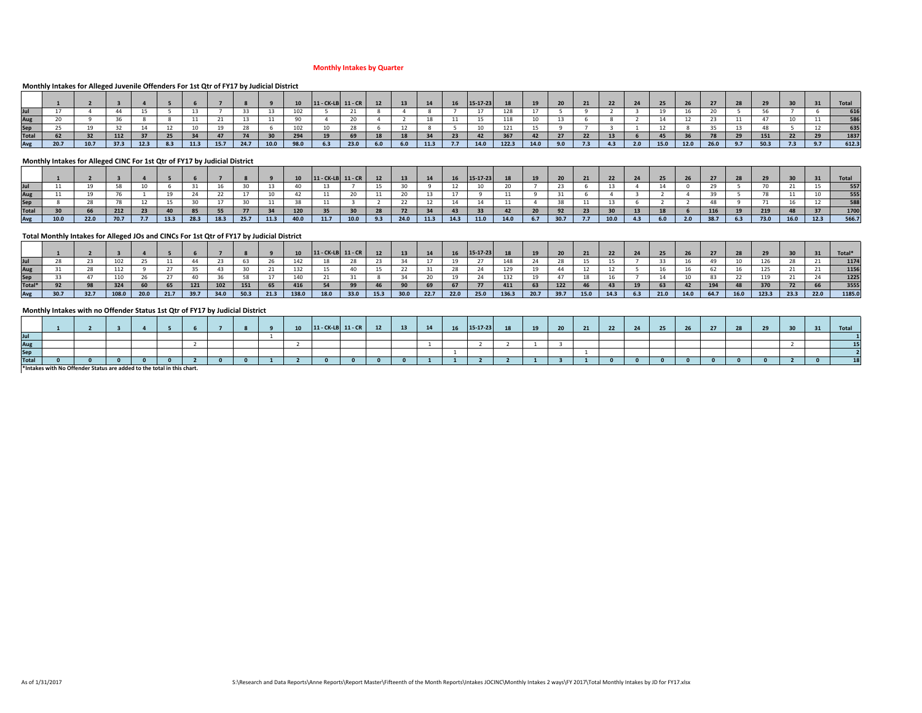#### **Monthly Intakes by Quarter**

## **Monthly Intakes for Alleged Juvenile Offenders For 1st Qtr of FY17 by Judicial District**

|              |      |      |      |      |     |      |      |      |      |      | 11 - CK-LB   11 - CR |      | <b>12</b> | 13  | 14   | <b>16</b> | $15 - 17 - 23$ | 18    |      | 20 <sup>2</sup> | 21  | 22 |     |      |      |      |     |      |     | <b>Total</b> |
|--------------|------|------|------|------|-----|------|------|------|------|------|----------------------|------|-----------|-----|------|-----------|----------------|-------|------|-----------------|-----|----|-----|------|------|------|-----|------|-----|--------------|
|              |      |      |      |      |     |      |      |      |      |      |                      |      |           |     |      |           |                |       |      |                 |     |    |     |      |      |      |     |      |     | 616          |
| Aug          |      |      |      |      |     |      |      |      |      |      |                      |      |           |     |      |           |                | 118   |      |                 |     |    |     |      |      |      |     |      |     |              |
| Sep          |      |      |      |      |     |      |      |      |      |      |                      |      |           |     |      |           |                | 121   |      |                 |     |    |     |      |      |      |     |      |     | 635          |
| <b>Total</b> |      |      |      |      |     |      |      |      |      |      |                      |      |           |     |      |           |                | 367   | 42   |                 |     |    |     |      |      |      |     | 151  |     | 1837         |
| Avg          | 20.7 | 10.7 | 37.3 | 12.3 | 8.3 | 11.3 | 15.7 | 24.7 | 10.0 | 98.0 | 6.3                  | 23.0 | 6.0       | 6.0 | 11.3 | 7.7       | 14.0           | 122.3 | 14.0 | 9.0             | 7.3 |    | 2.0 | 15.0 | 12.0 | 26.0 | 9.7 | 50.3 | 7.3 | 612.3        |

#### **Monthly Intakes for Alleged CINC For 1st Qtr of FY17 by Judicial District**

|              |      |      |      |    |      |      |      |      |      |      | $11 - CK-LB$ 11 - CR |      |     | 13   | <b>14</b> | 16   | 15-17-23 |      |      |      |     |      |  |     |      |     |      |      |      | Total |
|--------------|------|------|------|----|------|------|------|------|------|------|----------------------|------|-----|------|-----------|------|----------|------|------|------|-----|------|--|-----|------|-----|------|------|------|-------|
| Jul          |      |      |      |    |      |      |      |      |      |      |                      |      |     |      |           |      |          |      |      |      |     |      |  |     |      |     |      |      |      | 557   |
| Aug          |      |      |      |    |      |      |      |      |      |      |                      |      |     |      |           |      |          |      |      |      |     |      |  |     |      |     |      |      |      | 555   |
| <b>Sep</b>   |      |      |      |    |      |      |      |      |      |      |                      |      |     |      |           |      |          |      |      |      |     |      |  |     |      |     |      |      |      | 588   |
| <b>Total</b> |      | 66   | 212  | 23 |      | 85   |      |      |      | 120  |                      |      |     |      |           |      |          |      | - zu |      |     |      |  |     | 116  |     | 219  |      |      | 1700  |
| Avg          | 10.0 | 22.0 | 70.7 |    | 13.3 | 28.3 | 18.3 | 25.7 | 11.3 | 40.0 | 11.7                 | 10.0 | 9.3 | 24.0 | 11.3      | 14.3 | 11.0     | 14.0 | 6.7  | 30.7 | 7.7 | 10.0 |  | 2.0 | 38.7 | 6.3 | 73.0 | 16.0 | 12.3 | 566.7 |

## **Total Monthly Intakes for Alleged JOs and CINCs For 1st Qtr of FY17 by Judicial District**

|        |      |      |       |      |      |      |      |      |      |       | $11 - CK-LB$ 11 - CR |      | 12 <sub>2</sub> | 13   |      |      | 15-17-23 | 18    |      | 20   |      |      |     |      | -26  |      |      | 29    |      |      | Total* |
|--------|------|------|-------|------|------|------|------|------|------|-------|----------------------|------|-----------------|------|------|------|----------|-------|------|------|------|------|-----|------|------|------|------|-------|------|------|--------|
| Jul    |      |      |       |      |      |      |      |      |      |       |                      |      |                 |      |      |      |          |       |      |      |      |      |     |      |      |      |      |       |      |      | 1174   |
| Aug    |      |      |       |      |      |      |      |      |      |       |                      | 40   |                 |      |      |      |          |       |      |      |      |      |     |      |      |      |      | 125   | 21   |      | 1156   |
| Sep    |      |      |       |      |      |      |      |      |      |       |                      |      |                 |      |      |      |          |       |      |      |      |      |     |      |      |      |      | 119   |      |      | 1225   |
| Total* |      |      |       |      | 65   | 121  | 102  | 151  | 65   | 416   |                      | 99   |                 |      |      |      |          | 411   |      | 122  |      |      |     | 63   |      | -194 |      | 370   |      |      | 3555   |
| Avg    | 30.7 | 32.7 | 108.0 | 20.0 | 21.7 | 39.7 | 34.0 | 50.3 | 21.3 | 138.0 | 18.0                 | 33.0 | 15.3            | 30.0 | 22.7 | 22.0 | 25.0     | 136.3 | 20.7 | 39.7 | 15.0 | 14.3 | 6.3 | 21.0 | 14.0 | 64.7 | 16.0 | 123.3 | 23.3 | 22.0 | 1185.0 |

## **Monthly Intakes with no Offender Status 1st Qtr of FY17 by Judicial District**

|             |  |  |   |  |  | $111$ $CV$ $10$ $11$ |  | 12<br>- 15 | 16 | 15-17-23 | 18 | 10 <sup>1</sup> | $\sim$ | ຳາ<br>$\epsilon$ |  |  | -- |  | Total |
|-------------|--|--|---|--|--|----------------------|--|------------|----|----------|----|-----------------|--------|------------------|--|--|----|--|-------|
| Jul         |  |  |   |  |  |                      |  |            |    |          |    |                 |        |                  |  |  |    |  |       |
| Aug         |  |  |   |  |  |                      |  |            |    |          |    |                 |        |                  |  |  |    |  |       |
| <b>Sep</b>  |  |  |   |  |  |                      |  |            |    |          |    |                 |        |                  |  |  |    |  |       |
| <b>Tota</b> |  |  |   |  |  |                      |  |            |    |          |    |                 |        |                  |  |  |    |  |       |
|             |  |  | . |  |  |                      |  |            |    |          |    |                 |        |                  |  |  |    |  |       |

**\*Intakes with No Offender Status are added to the total in this chart.**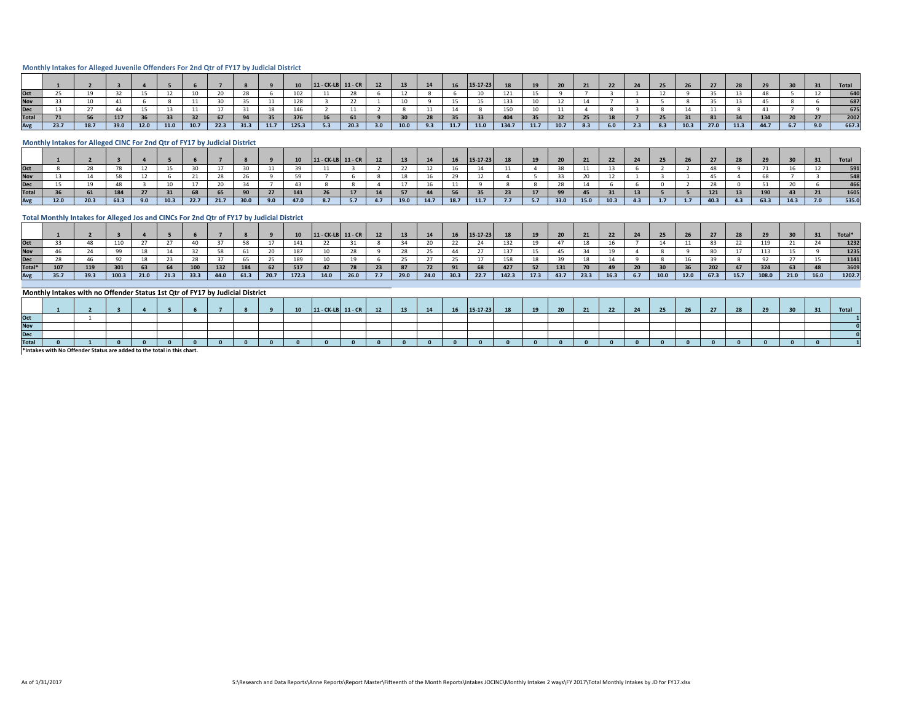#### **Monthly Intakes for Alleged Juvenile Offenders For 2nd Qtr of FY17 by Judicial District**

|      |      |      |      |      |      |      |      |      |      |       | $11 - CK-LB$ 11 - CR |      |     |      |     |      | $15-17-23$ |       |      |      | 21  |     |        |      |      |      |      |     | <b>Total</b> |
|------|------|------|------|------|------|------|------|------|------|-------|----------------------|------|-----|------|-----|------|------------|-------|------|------|-----|-----|--------|------|------|------|------|-----|--------------|
|      |      |      |      |      |      |      |      |      |      |       |                      |      |     |      |     |      |            |       |      |      |     |     |        |      |      |      |      |     |              |
|      |      |      |      |      |      |      |      |      |      |       |                      |      |     |      |     |      |            |       |      |      |     |     |        |      |      |      |      |     | 687          |
|      |      |      |      |      |      |      |      |      |      |       |                      |      |     |      |     |      |            | 150   |      |      |     |     |        |      |      |      |      |     | 675          |
| Гоtа |      |      | 117  |      |      |      |      |      |      | 376   |                      | 61   |     |      |     |      |            |       |      |      |     |     |        |      |      |      | 134  |     | 2002         |
|      | 23.7 | 18.7 | 39.0 | 12.0 | 11.0 | 10.7 | 22.3 | 31.3 | 11.7 | 125.3 | 5.3                  | 20.3 | 3.0 | 10.0 | 9.3 | 11.7 | 11.0       | 134.7 | 11.7 | 10.7 | 8.3 | 6.0 | $\sim$ | 10.3 | 27.0 | 11.3 | 44.7 | 9.0 | 667.3        |

#### **Monthly Intakes for Alleged CINC For 2nd Qtr of FY17 by Judicial District**

|              |      |      |      |     |      |      |      |      |     | $11 - CK-LB$ $11 - CR$ |  | 13   | 14   | <b>16</b> | $15 - 17 - 23$ | 18  |       |      | 21   | 22   |  |  |      |      | <b>Total</b> |
|--------------|------|------|------|-----|------|------|------|------|-----|------------------------|--|------|------|-----------|----------------|-----|-------|------|------|------|--|--|------|------|--------------|
| Oct          |      |      |      |     |      |      |      |      |     |                        |  |      |      |           |                |     |       |      |      |      |  |  |      |      |              |
| <b>Nov</b>   |      |      |      |     |      |      |      |      |     |                        |  |      |      |           |                |     |       |      |      |      |  |  |      |      |              |
| <b>Dec</b>   |      |      |      |     |      |      |      |      |     |                        |  |      |      |           |                |     |       |      |      |      |  |  |      |      |              |
| <b>Total</b> |      |      |      |     |      |      |      |      |     |                        |  |      |      |           |                |     |       |      |      |      |  |  |      |      |              |
| Avg          | 12.0 | 20.3 | 61.3 | 9.0 | 10.3 | 22.7 | 21.7 | 30.0 | 9.0 |                        |  | 19.0 | 14.7 | 18.7      | 11.7           | 7.7 | - 5.7 | 33.0 | 15.0 | 10.3 |  |  | 63.3 | 14.3 | 535.0        |

## **Total Monthly Intakes for Alleged Jos and CINCs For 2nd Qtr of FY17 by Judicial District**

|            |      |      |       |      |      |      |      |      |      |       | $11 - CK-LB$ 11 - CR |      |              | 13 <sup>7</sup> |      |      | 15-17-23 |       | 19   | 20   |      |      |     |      | 26   |      |      |       |      |      | <b>Total</b> |
|------------|------|------|-------|------|------|------|------|------|------|-------|----------------------|------|--------------|-----------------|------|------|----------|-------|------|------|------|------|-----|------|------|------|------|-------|------|------|--------------|
| Oct        |      |      | 110   |      |      |      |      |      |      | 141   |                      |      |              |                 |      |      |          | 132   | 19   |      |      |      |     |      |      |      |      | 119   |      |      | 1232         |
| Vov        |      |      |       |      |      |      |      |      |      |       |                      |      |              |                 | رے   |      |          | 137   | 15   |      |      |      |     |      |      |      |      | 113   |      |      | 1235         |
| ۱o٢<br>レヒヒ |      |      |       |      |      |      |      |      |      | 189   |                      |      |              |                 |      | - 25 |          | 158   | 18   |      |      |      |     |      |      |      |      |       |      |      | 1141         |
| Total*     | 107  | 119  |       |      |      | 100  | 132  |      | 62   | 517   |                      | 78   | -23          |                 | 72   |      |          | 427   | 52   | 131  |      |      |     |      |      | 202  |      | 324   |      |      | 3609         |
|            | 35.7 | 39.3 | 100.3 | 21.0 | 21.3 | 33.3 | 44.0 | 61.3 | 20.7 | 172.3 | 14.0                 | 26.0 | $\sqrt{7.7}$ | 29.0            | 24.0 | 30.3 | 22.7     | 142.3 | 17.3 | 43.7 | 23.3 | 16.3 | 6.7 | 10.0 | 12.0 | 67.3 | 15.7 | 108.0 | 21.0 | 16.0 | 1202.7       |

#### **Monthly Intakes with no Offender Status 1st Qtr of FY17 by Judicial District**

|              |  |  |  |  | 10 | 11 - CK-LB 11 - CF |  |  | AC<br>- 49 | 15-17-23 |  | 21 | $\mathbf{a}$ |  |  |  |  | Total |
|--------------|--|--|--|--|----|--------------------|--|--|------------|----------|--|----|--------------|--|--|--|--|-------|
| Oct          |  |  |  |  |    |                    |  |  |            |          |  |    |              |  |  |  |  |       |
| <b>Nov</b>   |  |  |  |  |    |                    |  |  |            |          |  |    |              |  |  |  |  |       |
| <b>Dec</b>   |  |  |  |  |    |                    |  |  |            |          |  |    |              |  |  |  |  |       |
| <b>Total</b> |  |  |  |  |    |                    |  |  |            |          |  |    |              |  |  |  |  |       |

**\*Intakes with No Offender Status are added to the total in this chart.**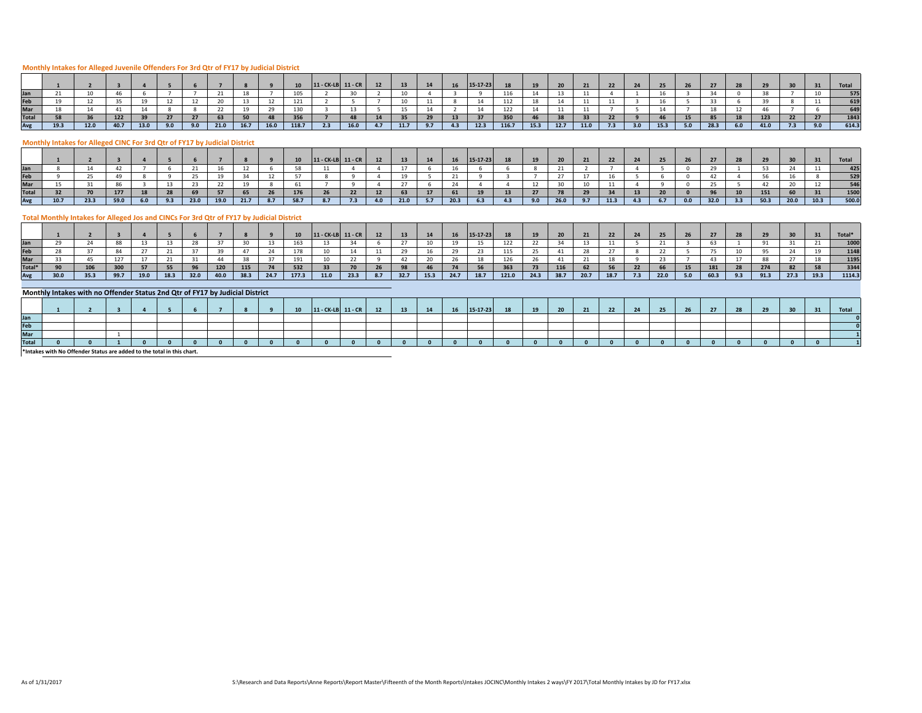## **Monthly Intakes for Alleged Juvenile Offenders For 3rd Qtr of FY17 by Judicial District**

|      |      |      |      |     |     |      |      |      |         | 11 - CK-LB 11 - CR |      |     |      | 14  | <b>16</b> | $15-17-23$ | 18    |      |      |      |     |     | 25   |     |      | 28  |      |     | Total           |
|------|------|------|------|-----|-----|------|------|------|---------|--------------------|------|-----|------|-----|-----------|------------|-------|------|------|------|-----|-----|------|-----|------|-----|------|-----|-----------------|
|      |      |      |      |     |     |      |      |      | TOJ     |                    |      |     |      |     |           |            |       |      |      |      |     |     |      |     |      |     |      |     | 575             |
|      |      |      |      |     |     |      |      |      | 141     |                    |      |     |      |     |           |            | 112   |      |      |      |     |     |      |     |      |     |      |     | 619             |
|      |      |      |      |     |     |      |      |      |         |                    |      |     |      |     |           |            |       |      |      |      |     |     |      |     |      |     |      |     | CAO             |
|      |      |      |      |     |     |      |      |      | <b></b> |                    |      |     |      |     |           |            | 350   |      |      |      |     |     |      |     |      | 18  | 123  |     | 0A <sub>2</sub> |
| 19.3 | 12.0 | 40.7 | 13.0 | 9.0 | 9.0 | 21.0 | 16.7 | 16.0 | 118.7   | 2.3                | 16.0 | 4.7 | 11.7 | 9.7 | $-4.3$    | 12.3       | 116.7 | 15.3 | 12.7 | 11.0 | 7.3 | 3.0 | 15.3 | 5.0 | 28.3 | 6.0 | 41.0 | 7.3 | 614.3           |

#### **Monthly Intakes for Alleged CINC For 3rd Qtr of FY17 by Judicial District**

|              |      |      |      |     |      |      |      |     |      | $11 - CK-LB$ 11 - CR |     | 13   | 14 | <b>16</b> | $15 - 17 - 23$ | 18  |     |      | 21 | 22    |     |     |      |      |      |      | <b>Total</b> |
|--------------|------|------|------|-----|------|------|------|-----|------|----------------------|-----|------|----|-----------|----------------|-----|-----|------|----|-------|-----|-----|------|------|------|------|--------------|
|              |      |      |      |     |      |      |      |     |      |                      |     |      |    |           |                |     |     |      |    |       |     |     |      |      |      |      |              |
|              |      |      |      |     |      |      |      |     |      |                      |     |      |    |           |                |     |     |      |    |       |     |     |      |      |      |      |              |
| Mar          |      |      |      |     |      |      |      |     |      |                      |     |      |    |           |                |     |     |      |    |       |     |     |      |      |      |      |              |
| <b>Total</b> |      |      |      |     |      |      |      |     |      |                      |     |      |    |           |                |     |     |      |    |       |     |     |      | 151  |      |      |              |
| Avg          | 10.7 | 23.3 | 59.0 | 6.0 | 23.0 | 19.0 | 21.7 | 8.7 | 58.7 |                      | 7.3 | 21.0 |    | 20.3      | 6.3            | 4.3 | 9.0 | 26.0 |    | -11.3 | 6.7 | 0.0 | 32.0 | 50.3 | 20.0 | 10.3 | 500.0        |

## **Total Monthly Intakes for Alleged Jos and CINCs For 3rd Qtr of FY17 by Judicial District**

|        |      |      |      |      |      |      |      |      |      |       | $11 - CK-LB$ 11 - CR |      | 12  | 13   | 14   |      | $15-17-23$ | 18    |      |      | 21   | 22   |     |      |     |      |     |      |      |      | Total* |
|--------|------|------|------|------|------|------|------|------|------|-------|----------------------|------|-----|------|------|------|------------|-------|------|------|------|------|-----|------|-----|------|-----|------|------|------|--------|
| Jan    |      |      |      |      |      |      |      |      |      |       |                      |      |     |      |      |      |            | 122   |      |      |      |      |     |      |     |      |     |      |      |      |        |
| Feb    |      |      |      |      |      |      |      |      |      |       |                      |      |     |      |      |      |            | 115   |      |      |      |      |     |      |     |      |     |      |      |      | 1148   |
| Mar    |      |      |      |      |      |      |      |      |      |       |                      |      |     |      |      |      |            | 126   |      |      | 21   |      |     |      |     |      |     | 88   |      |      | 1195   |
| Total* |      | 106  | 300  |      | 55   |      | 120  | 115  |      | 532   |                      |      |     |      |      |      |            | 363   | 73   | 116  |      |      |     |      |     |      |     | 274  |      |      | 3344   |
| Avg    | 30.0 | 35.3 | 99.7 | 19.0 | 18.3 | 32.0 | 40.0 | 38.3 | 24.7 | 177.3 | 11.0                 | 23.3 | 8.7 | 32.7 | 15.3 | 24.7 | 18.7       | 121.0 | 24.3 | 38.7 | 20.7 | 18.7 | 7.3 | 22.0 | 5.0 | 60.3 | 9.3 | 91.3 | 27.3 | 19.3 | 1114.3 |

#### **Monthly Intakes with no Offender Status 2nd Qtr of FY17 by Judicial District**

|              |  |  |  |  | 10 | 11 - CK-LB 11 - CF |  |  | $\overline{a}$ | 15-17-23 |  | 21 |  |  |  |  | Total |
|--------------|--|--|--|--|----|--------------------|--|--|----------------|----------|--|----|--|--|--|--|-------|
| Jan          |  |  |  |  |    |                    |  |  |                |          |  |    |  |  |  |  |       |
| Feb          |  |  |  |  |    |                    |  |  |                |          |  |    |  |  |  |  |       |
| Mar          |  |  |  |  |    |                    |  |  |                |          |  |    |  |  |  |  |       |
| <b>Total</b> |  |  |  |  |    |                    |  |  |                |          |  |    |  |  |  |  |       |

**\*Intakes with No Offender Status are added to the total in this chart.**